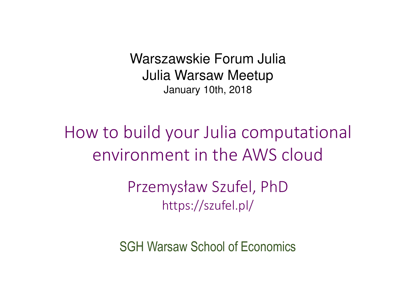Warszawskie Forum Julia Julia Warsaw Meetup<br>January 10th, 2018 January 10th, 2018

How to build your Julia computational environment in the AWS cloud

> Przemysław Szufel, PhDhttps://szufel.pl/

SGH Warsaw School of Economics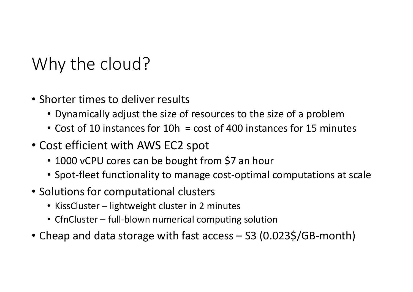## Why the cloud?

- Shorter times to deliver results
	- Dynamically adjust the size of resources to the size of a problem
	- Cost of 10 instances for 10h = cost of 400 instances for 15 minutes
- Cost efficient with AWS EC2 spot
	- 1000 vCPU cores can be bought from \$7 an hour
	- Spot-fleet functionality to manage cost-optimal computations at scale
- Solutions for computational clusters
	- KissCluster lightweight cluster in 2 minutes
	- CfnCluster full-blown numerical computing solution
- Cheap and data storage with fast access S3 (0.023\$/GB-month)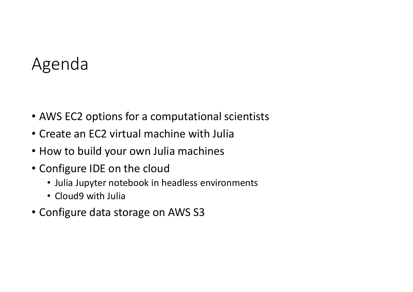#### Agenda

- AWS EC2 options for a computational scientists
- Create an EC2 virtual machine with Julia
- How to build your own Julia machines
- Configure IDE on the cloud
	- Julia Jupyter notebook in headless environments
	- Cloud9 with Julia
- Configure data storage on AWS S3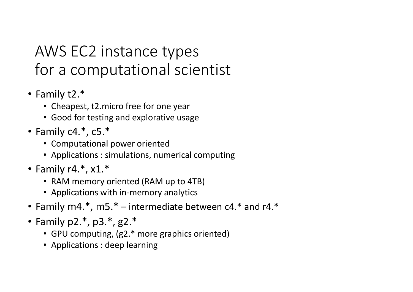#### AWS EC2 instance types for a computational scientist

- Family t2.\*
	- Cheapest, t2.micro free for one year
	- Good for testing and explorative usage
- Family c4.\*, c5.\*
	- Computational power oriented
	- Applications : simulations, numerical computing
- Family r4.\*, x1.\*
	- RAM memory oriented (RAM up to 4TB)
	- Applications with in-memory analytics
- Family m4.\*, m5.\* intermediate between c4.\* and r4.\*
- Family p2.\*, p3.\*, g2.\*
	- GPU computing, (g2.\* more graphics oriented)
	- Applications : deep learning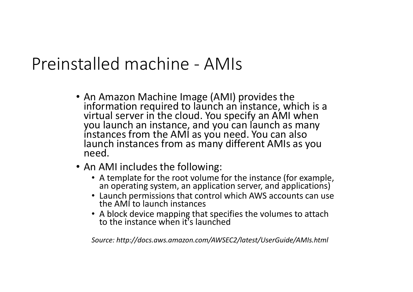#### Preinstalled machine - AMIs

- An Amazon Machine Image (AMI) provides the<br>information required to launch an instance, which is a virtual server in the cloud. You specify an AMI when<br>you launch an instance, and you can launch as many<br>instances from the AMI as you need. You can also<br>launch instances from as many different AMIs as you need.
- An AMI includes the following:
	- A template for the root volume for the instance (for example,<br>an operating system, an application server, and applications)
	- Launch permissions that control which AWS accounts can use the AMI to launch instances
	- A block device mapping that specifies the volumes to attach to the instance when it's launched

*Source: http://docs.aws.amazon.com/AWSEC2/latest/UserGuide/AMIs.html*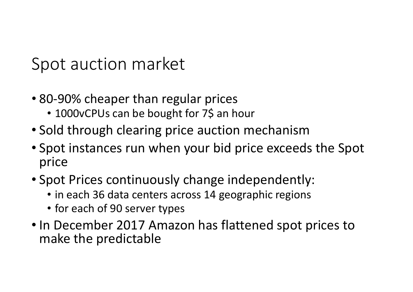Spot auction market

- 80-90% cheaper than regular prices
	- 1000vCPUs can be bought for 7\$ an hour
- Sold through clearing price auction mechanism
- Spot instances run when your bid price exceeds the Spot price
- Spot Prices continuously change independently:
	- in each 36 data centers across 14 geographic regions
	- for each of 90 server types
- In December 2017 Amazon has flattened spot prices to make the predictable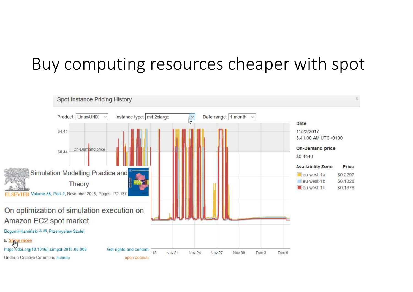### Buy computing resources cheaper with spot

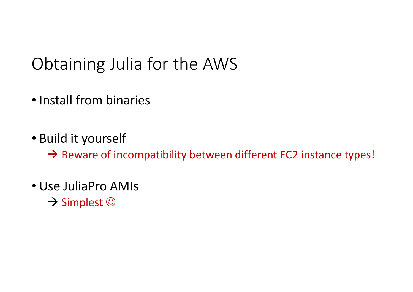## Obtaining Julia for the AWS

- Install from binaries
- Build it yourself

 $\rightarrow$  Beware of incompatibility between different EC2 instance types!

• Use JuliaPro AMIs  $\rightarrow$  Simplest  $\odot$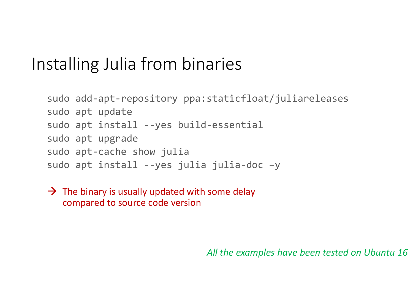## Installing Julia from binaries

```
sudo add-apt-repository ppa:staticfloat/juliareleasessudo apt update
sudo apt install --yes build-essentialsudo apt upgrade
sudo apt-cache show julia
sudo apt install --yes julia julia-doc –y
```
 $\rightarrow$  The binary is usually updated with some delay<br>compared to source code version compared to source code version

*All the examples have been tested on Ubuntu 16*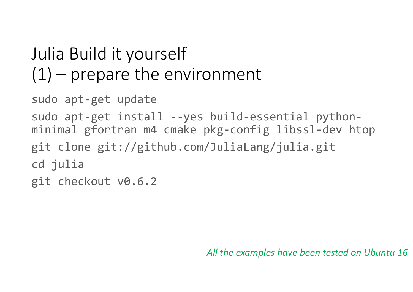# Julia Build it yourself  $(1)$  – prepare the environment

sudo apt-get update

```
sudo apt-get install --yes build-essential python-
minimal gfortran m4 cmake pkg-config libssl-dev htopgit clone git://github.com/JuliaLang/julia.gitcd juliagit checkout v0.6.2
```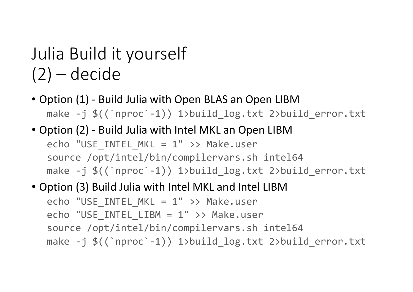## Julia Build it yourself (2) – decide

- Option (1) Build Julia with Open BLAS an Open LIBMmake -j \$((`nproc`-1)) 1>build\_log.txt 2>build\_error.txt
- Option (2) Build Julia with Intel MKL an Open LIBMecho "USE\_INTEL\_MKL = 1" >> Make.user source /opt/intel/bin/compilervars.sh intel64make -j \$((`nproc`-1)) 1>build\_log.txt 2>build\_error.txt
- Option (3) Build Julia with Intel MKL and Intel LIBM

```
echo "USE_INTEL_MKL = 1" >> Make.user
echo "USE_INTEL_LIBM = 1" >> Make.user
source /opt/intel/bin/compilervars.sh intel64
make -j $((`nproc`-1)) 1>build_log.txt 2>build_error.txt
```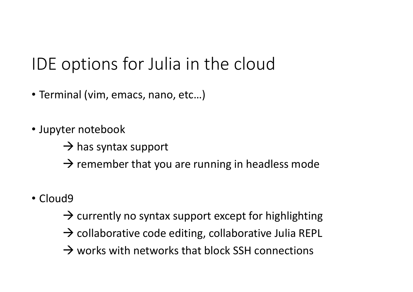## IDE options for Julia in the cloud

- Terminal (vim, emacs, nano, etc…)
- Jupyter notebook
	- > has syntax support
	- $\rightarrow$  remember that you are running in headless mode
- Cloud9
	- > currently no syntax support except for highlighting
	- A collaborative code editing, collaborative Julia REPL
	- $\rightarrow$  works with networks that block SSH connections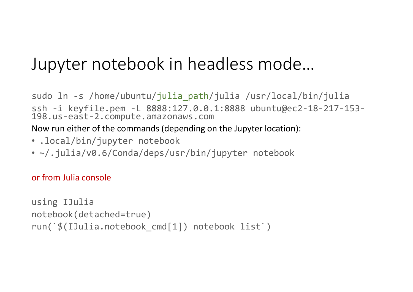### Jupyter notebook in headless mode…

sudo ln -s /home/ubuntu/julia\_path/julia /usr/local/bin/julia ssh -i keyfile.pem -L 8888:127.0.0.1:8888 ubuntu@ec2-18-217-153-198.us-east-2.compute.amazonaws.com

Now run either of the commands (depending on the Jupyter location):

- .local/bin/jupyter notebook
- ~/.julia/v0.6/Conda/deps/usr/bin/jupyter notebook

or from Julia console

```
using IJulia
notebook(detached=true)
run(`$(IJulia.notebook_cmd[1]) notebook list`)
```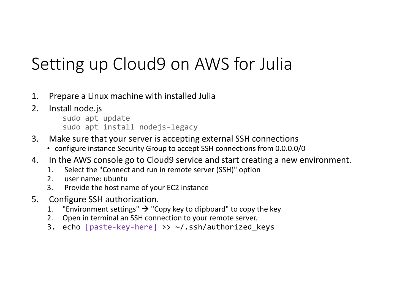## Setting up Cloud9 on AWS for Julia

- 1. Prepare a Linux machine with installed Julia
- 2. Install node.js

sudo apt updatesudo apt install nodejs-legacy

- 3. Make sure that your server is accepting external SSH connections
	- configure instance Security Group to accept SSH connections from 0.0.0.0/0
- 4. In the AWS console go to Cloud9 service and start creating a new environment.
	- 1. Select the "Connect and run in remote server (SSH)" option<br>2. user name: ubuntu
	- 2. user name: ubuntu<br>3. Provide the host na
	- 3. Provide the host name of your EC2 instance
- 5. Configure SSH authorization.<br>1. "Environment settings"  $\rightarrow$  "Com
	- 1. "Environment settings" → "Copy key to clipboard" to copy the key<br>2 Onen in terminal an SSH connection to your remote server
	- 2. Open in terminal an SSH connection to your remote server.
	- 3. echo [paste-key-here] >> ~/.ssh/authorized\_keys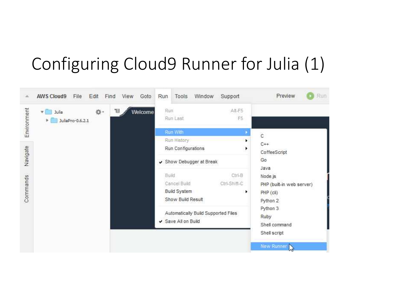# Configuring Cloud9 Runner for Julia (1)

| a.          | <b>AWS Cloud9</b><br>File<br>Edit<br>Goto<br>View<br>Find  | Run<br>Tools<br>Window                                                   | Run<br>Preview<br>Support                                                                    |
|-------------|------------------------------------------------------------|--------------------------------------------------------------------------|----------------------------------------------------------------------------------------------|
| Environment | 目<br>券、<br>Welcome<br>Julia<br>vΤ<br>JuliaPro-0.6.2.1<br>r | Run<br>Run Last<br>Run With<br>Run History                               | Alt-FS<br>FS.<br>$\ddot{c}$                                                                  |
| Navigate    |                                                            | Run Configurations<br>Show Debugger at Break                             | $C++$<br>٠<br>CoffeeScript<br>Go<br>Java                                                     |
| Commands    |                                                            | <b>Build</b><br>Cancel Build<br><b>Build System</b><br>Show Build Result | Ctrl-B<br>Node.js<br>Ctrl-Shift-C<br>PHP (built-in web server)<br>٠<br>PHP (cli)<br>Python 2 |
|             |                                                            | Automatically Build Supported Files<br>✔ Save All on Build               | Python 3<br>Ruby<br>Shell command<br>Shell script                                            |
|             |                                                            |                                                                          | New Runner                                                                                   |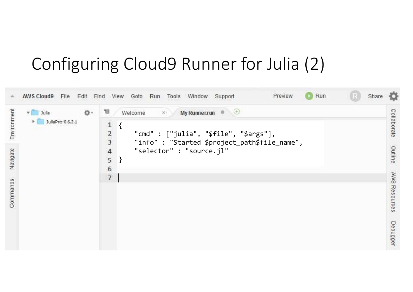## Configuring Cloud9 Runner for Julia (2)

|                                     | <b>AWS Cloud9</b><br>Edit<br>File                 | Run<br>Preview<br><b>COL</b><br>Share<br>Run<br>Window<br>Find<br>View<br>Goto<br>Tools<br>Support                                                                                                                                                                                                             |                                         |
|-------------------------------------|---------------------------------------------------|----------------------------------------------------------------------------------------------------------------------------------------------------------------------------------------------------------------------------------------------------------------------------------------------------------------|-----------------------------------------|
| Environment<br>Navigate<br>Commands | 投,<br>Julia<br>$\nabla$<br>JuliaPro-0,6,2,1<br>×. | $\bullet$ $\oplus$<br>目<br><b>My Runner.run</b><br>Welcome<br>$\times$<br>$\mathbf{1}$<br>ί<br>$\overline{2}$<br>"cmd" : $["julia", "$file", "$args"]$ ,<br>3<br>"info" : "Started \$project_path\$file_name",<br>"selector" : "source.jl"<br>$\overline{4}$<br>5<br>$\left\{ \right\}$<br>6<br>$\overline{7}$ | Collaborate<br>Outline<br>AWS Resources |
|                                     |                                                   |                                                                                                                                                                                                                                                                                                                | Debugger                                |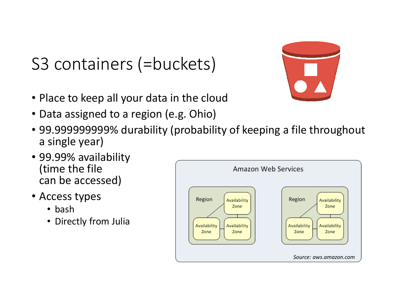## S3 containers (=buckets)

- Place to keep all your data in the cloud
- Data assigned to a region (e.g. Ohio)
- 99.999999999% durability (probability of keeping a file throughout a single year)
- 99.99% availability(time the filecan be accessed)
- Access types
	- bash
	- Directly from Julia

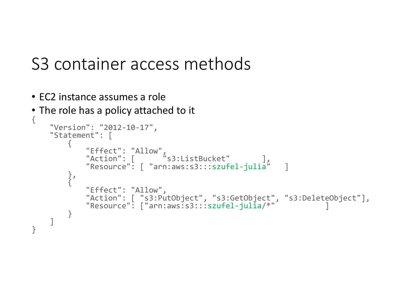#### S3 container access methods

- EC2 instance assumes a role
- The role has a policy attached to it

```
{"Version": "2012-10-17","Statement": |
                {
                        "Effect": "Allow",<br>"Action": [       "s3:ListBucket"     ],<br>"Resource": [ "arn:aws:s3:::szufel-julia"   ]
                },
{"Effect": "Allow",
"Action": [ "s3:PutObject", "s3:GetObject", "s3:DeleteObject"],
"Resource": ["arn:aws:s3:::szufel-julia/*" ]}]}<br>}
```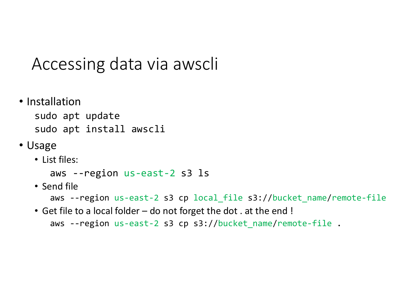#### Accessing data via awscli

• Installation

 sudo apt updatesudo apt install awscli

- Usage
	- List files:

```
aws --region us-east-2 s3 ls
```
• Send file

```

aws --region us-east-2 s3 cp local_file s3://bucket_name
/remote-file
```
• Get file to a local folder – do not forget the dot . at the end ! aws --region us-east-2 s3 cp s3://bucket\_name /remote-file .